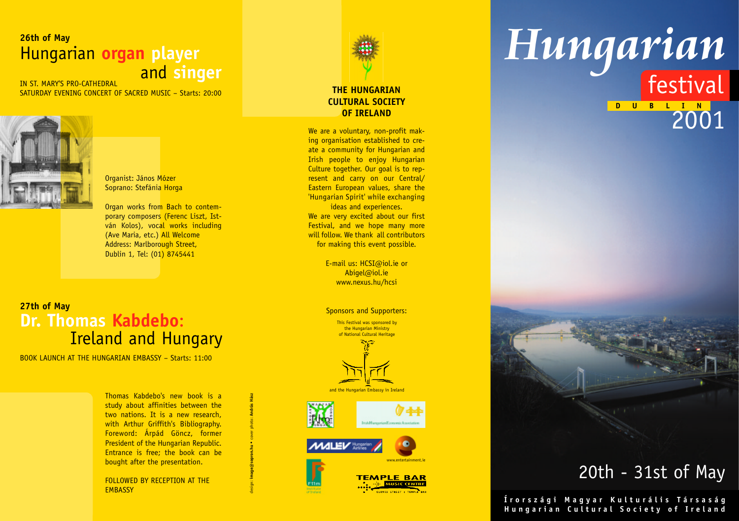# **26th of May** Hungarian **organ player IN ST. MARY'S PRO-CATHEDRAL**

SATURDAY EVENING CONCERT OF SACRED MUSIC – Starts: 20:00



Organist: János Mózer Soprano: Stefánia Horga

Organ works from Bach to contemporary composers (Ferenc Liszt, István Kolos), vocal works including (Ave Maria, etc.) All Welcome Address: Marlborough Street, Dublin 1, Tel: (01) 8745441

## **27th of May Dr. Thomas Kabdebo** : Ireland and Hungary

BOOK LAUNCH AT THE HUNGARIAN EMBASSY – Starts: 11:00

Thomas Kabdebo's new book is a study about affinities between the two nations. It is a new research, with Arthur Griffith's Bibliography. Foreword: Árpád Göncz, former President of the Hungarian Republic. Entrance is free; the book can be bought after the presentation.

design: **image@sopron.hu •** cover photo: **András Hász** 

FOLLOWED BY RECEPTION AT THE **EMBASSY** 



### **THE HUNGARIAN CULTURAL SOCIETY OF IRELAND**

We are a voluntary, non-profit making organisation established to create a community for Hungarian and Irish people to enjoy Hungarian Culture together. Our goal is to represent and carry on our Central/ Eastern European values, share the 'Hungarian Spirit' while exchanging ideas and experiences.

We are very excited about our first Festival, and we hope many more will follow. We thank all contributors for making this event possible.

> E-mail us: HCSI@iol.ie or Abigel@iol.ie www.nexus.hu/hcsi

Sponsors and Supporters:

This Festival was sponsored by the Hungarian Ministry of National Cultural Heritage



and the Hungarian Embassy in Ireland







# *Hungarian*

**D** U B L I  $\frac{N}{2001}$ festival



# 20th - 31st of May

**Írországi Magyar Kulturális Társaság Hungarian Cultural Society of Ireland**